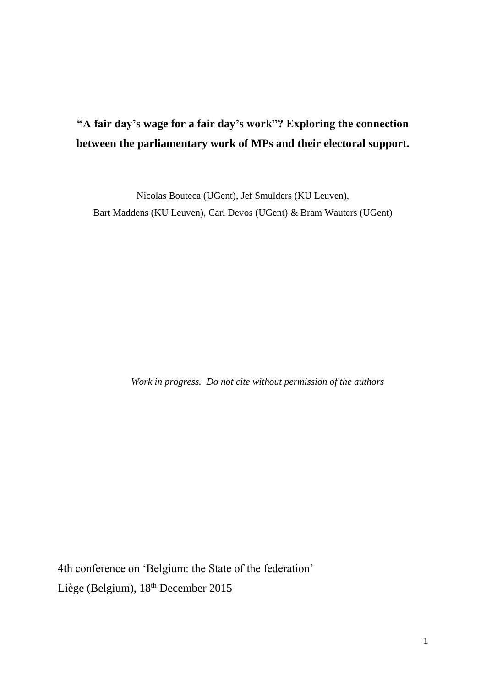# **"A fair day's wage for a fair day's work"? Exploring the connection between the parliamentary work of MPs and their electoral support.**

Nicolas Bouteca (UGent), Jef Smulders (KU Leuven), Bart Maddens (KU Leuven), Carl Devos (UGent) & Bram Wauters (UGent)

*Work in progress. Do not cite without permission of the authors*

4th conference on 'Belgium: the State of the federation' Liège (Belgium), 18<sup>th</sup> December 2015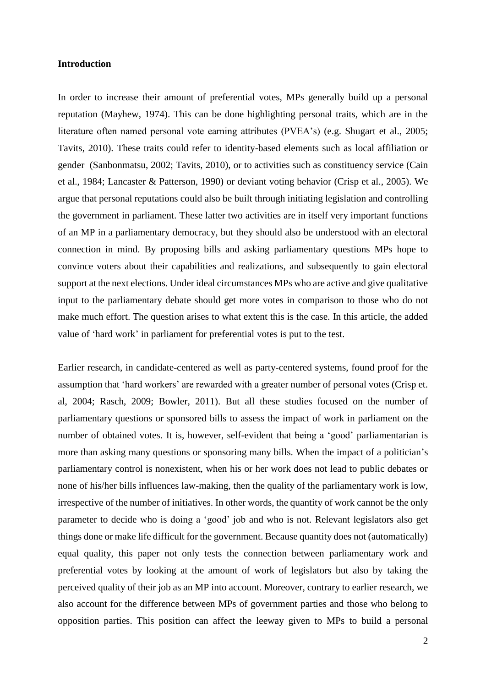#### **Introduction**

In order to increase their amount of preferential votes, MPs generally build up a personal reputation (Mayhew, 1974). This can be done highlighting personal traits, which are in the literature often named personal vote earning attributes (PVEA's) (e.g. Shugart et al., 2005; Tavits, 2010). These traits could refer to identity-based elements such as local affiliation or gender (Sanbonmatsu, 2002; Tavits, 2010), or to activities such as constituency service (Cain et al., 1984; Lancaster & Patterson, 1990) or deviant voting behavior (Crisp et al., 2005). We argue that personal reputations could also be built through initiating legislation and controlling the government in parliament. These latter two activities are in itself very important functions of an MP in a parliamentary democracy, but they should also be understood with an electoral connection in mind. By proposing bills and asking parliamentary questions MPs hope to convince voters about their capabilities and realizations, and subsequently to gain electoral support at the next elections. Under ideal circumstances MPs who are active and give qualitative input to the parliamentary debate should get more votes in comparison to those who do not make much effort. The question arises to what extent this is the case. In this article, the added value of 'hard work' in parliament for preferential votes is put to the test.

Earlier research, in candidate-centered as well as party-centered systems, found proof for the assumption that 'hard workers' are rewarded with a greater number of personal votes (Crisp et. al, 2004; Rasch, 2009; Bowler, 2011). But all these studies focused on the number of parliamentary questions or sponsored bills to assess the impact of work in parliament on the number of obtained votes. It is, however, self-evident that being a 'good' parliamentarian is more than asking many questions or sponsoring many bills. When the impact of a politician's parliamentary control is nonexistent, when his or her work does not lead to public debates or none of his/her bills influences law-making, then the quality of the parliamentary work is low, irrespective of the number of initiatives. In other words, the quantity of work cannot be the only parameter to decide who is doing a 'good' job and who is not. Relevant legislators also get things done or make life difficult for the government. Because quantity does not (automatically) equal quality, this paper not only tests the connection between parliamentary work and preferential votes by looking at the amount of work of legislators but also by taking the perceived quality of their job as an MP into account. Moreover, contrary to earlier research, we also account for the difference between MPs of government parties and those who belong to opposition parties. This position can affect the leeway given to MPs to build a personal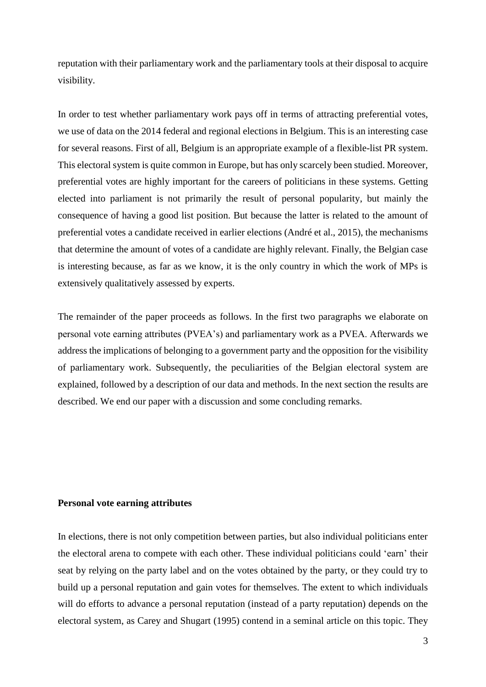reputation with their parliamentary work and the parliamentary tools at their disposal to acquire visibility.

In order to test whether parliamentary work pays off in terms of attracting preferential votes, we use of data on the 2014 federal and regional elections in Belgium. This is an interesting case for several reasons. First of all, Belgium is an appropriate example of a flexible-list PR system. This electoral system is quite common in Europe, but has only scarcely been studied. Moreover, preferential votes are highly important for the careers of politicians in these systems. Getting elected into parliament is not primarily the result of personal popularity, but mainly the consequence of having a good list position. But because the latter is related to the amount of preferential votes a candidate received in earlier elections (André et al., 2015), the mechanisms that determine the amount of votes of a candidate are highly relevant. Finally, the Belgian case is interesting because, as far as we know, it is the only country in which the work of MPs is extensively qualitatively assessed by experts.

The remainder of the paper proceeds as follows. In the first two paragraphs we elaborate on personal vote earning attributes (PVEA's) and parliamentary work as a PVEA. Afterwards we address the implications of belonging to a government party and the opposition for the visibility of parliamentary work. Subsequently, the peculiarities of the Belgian electoral system are explained, followed by a description of our data and methods. In the next section the results are described. We end our paper with a discussion and some concluding remarks.

## **Personal vote earning attributes**

In elections, there is not only competition between parties, but also individual politicians enter the electoral arena to compete with each other. These individual politicians could 'earn' their seat by relying on the party label and on the votes obtained by the party, or they could try to build up a personal reputation and gain votes for themselves. The extent to which individuals will do efforts to advance a personal reputation (instead of a party reputation) depends on the electoral system, as Carey and Shugart (1995) contend in a seminal article on this topic. They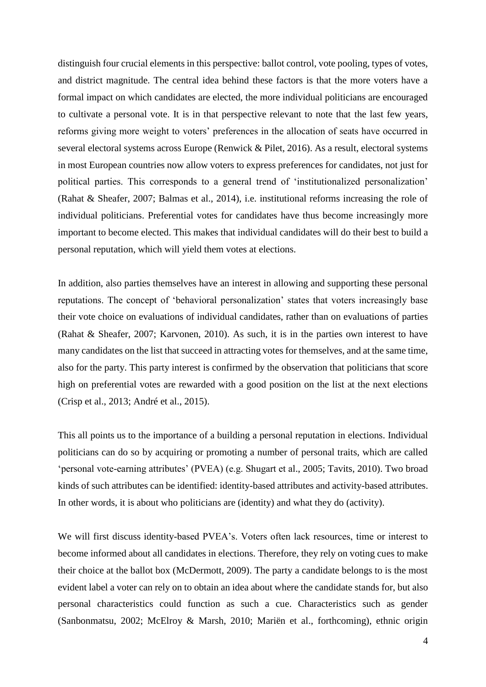distinguish four crucial elements in this perspective: ballot control, vote pooling, types of votes, and district magnitude. The central idea behind these factors is that the more voters have a formal impact on which candidates are elected, the more individual politicians are encouraged to cultivate a personal vote. It is in that perspective relevant to note that the last few years, reforms giving more weight to voters' preferences in the allocation of seats have occurred in several electoral systems across Europe (Renwick & Pilet, 2016). As a result, electoral systems in most European countries now allow voters to express preferences for candidates, not just for political parties. This corresponds to a general trend of 'institutionalized personalization' (Rahat & Sheafer, 2007; Balmas et al., 2014), i.e. institutional reforms increasing the role of individual politicians. Preferential votes for candidates have thus become increasingly more important to become elected. This makes that individual candidates will do their best to build a personal reputation, which will yield them votes at elections.

In addition, also parties themselves have an interest in allowing and supporting these personal reputations. The concept of 'behavioral personalization' states that voters increasingly base their vote choice on evaluations of individual candidates, rather than on evaluations of parties (Rahat & Sheafer, 2007; Karvonen, 2010). As such, it is in the parties own interest to have many candidates on the list that succeed in attracting votes for themselves, and at the same time, also for the party. This party interest is confirmed by the observation that politicians that score high on preferential votes are rewarded with a good position on the list at the next elections (Crisp et al., 2013; André et al., 2015).

This all points us to the importance of a building a personal reputation in elections. Individual politicians can do so by acquiring or promoting a number of personal traits, which are called 'personal vote-earning attributes' (PVEA) (e.g. Shugart et al., 2005; Tavits, 2010). Two broad kinds of such attributes can be identified: identity-based attributes and activity-based attributes. In other words, it is about who politicians are (identity) and what they do (activity).

We will first discuss identity-based PVEA's. Voters often lack resources, time or interest to become informed about all candidates in elections. Therefore, they rely on voting cues to make their choice at the ballot box (McDermott, 2009). The party a candidate belongs to is the most evident label a voter can rely on to obtain an idea about where the candidate stands for, but also personal characteristics could function as such a cue. Characteristics such as gender (Sanbonmatsu, 2002; McElroy & Marsh, 2010; Mariën et al., forthcoming), ethnic origin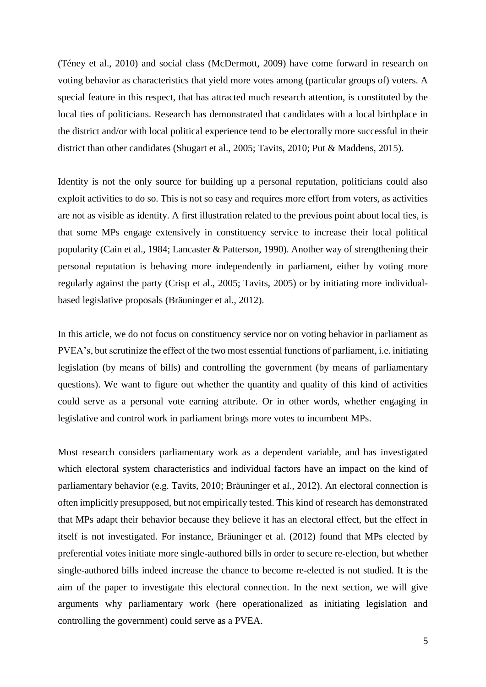(Téney et al., 2010) and social class (McDermott, 2009) have come forward in research on voting behavior as characteristics that yield more votes among (particular groups of) voters. A special feature in this respect, that has attracted much research attention, is constituted by the local ties of politicians. Research has demonstrated that candidates with a local birthplace in the district and/or with local political experience tend to be electorally more successful in their district than other candidates (Shugart et al., 2005; Tavits, 2010; Put & Maddens, 2015).

Identity is not the only source for building up a personal reputation, politicians could also exploit activities to do so. This is not so easy and requires more effort from voters, as activities are not as visible as identity. A first illustration related to the previous point about local ties, is that some MPs engage extensively in constituency service to increase their local political popularity (Cain et al., 1984; Lancaster & Patterson, 1990). Another way of strengthening their personal reputation is behaving more independently in parliament, either by voting more regularly against the party (Crisp et al., 2005; Tavits, 2005) or by initiating more individualbased legislative proposals (Bräuninger et al., 2012).

In this article, we do not focus on constituency service nor on voting behavior in parliament as PVEA's, but scrutinize the effect of the two most essential functions of parliament, i.e. initiating legislation (by means of bills) and controlling the government (by means of parliamentary questions). We want to figure out whether the quantity and quality of this kind of activities could serve as a personal vote earning attribute. Or in other words, whether engaging in legislative and control work in parliament brings more votes to incumbent MPs.

Most research considers parliamentary work as a dependent variable, and has investigated which electoral system characteristics and individual factors have an impact on the kind of parliamentary behavior (e.g. Tavits, 2010; Bräuninger et al., 2012). An electoral connection is often implicitly presupposed, but not empirically tested. This kind of research has demonstrated that MPs adapt their behavior because they believe it has an electoral effect, but the effect in itself is not investigated. For instance, Bräuninger et al. (2012) found that MPs elected by preferential votes initiate more single-authored bills in order to secure re-election, but whether single-authored bills indeed increase the chance to become re-elected is not studied. It is the aim of the paper to investigate this electoral connection. In the next section, we will give arguments why parliamentary work (here operationalized as initiating legislation and controlling the government) could serve as a PVEA.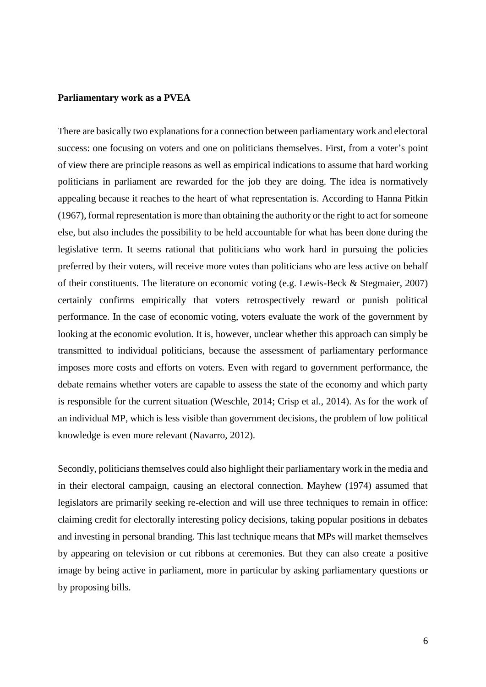## **Parliamentary work as a PVEA**

There are basically two explanations for a connection between parliamentary work and electoral success: one focusing on voters and one on politicians themselves. First, from a voter's point of view there are principle reasons as well as empirical indications to assume that hard working politicians in parliament are rewarded for the job they are doing. The idea is normatively appealing because it reaches to the heart of what representation is. According to Hanna Pitkin (1967), formal representation is more than obtaining the authority or the right to act for someone else, but also includes the possibility to be held accountable for what has been done during the legislative term. It seems rational that politicians who work hard in pursuing the policies preferred by their voters, will receive more votes than politicians who are less active on behalf of their constituents. The literature on economic voting (e.g. Lewis-Beck & Stegmaier, 2007) certainly confirms empirically that voters retrospectively reward or punish political performance. In the case of economic voting, voters evaluate the work of the government by looking at the economic evolution. It is, however, unclear whether this approach can simply be transmitted to individual politicians, because the assessment of parliamentary performance imposes more costs and efforts on voters. Even with regard to government performance, the debate remains whether voters are capable to assess the state of the economy and which party is responsible for the current situation (Weschle, 2014; Crisp et al., 2014). As for the work of an individual MP, which is less visible than government decisions, the problem of low political knowledge is even more relevant (Navarro, 2012).

Secondly, politicians themselves could also highlight their parliamentary work in the media and in their electoral campaign, causing an electoral connection. Mayhew (1974) assumed that legislators are primarily seeking re-election and will use three techniques to remain in office: claiming credit for electorally interesting policy decisions, taking popular positions in debates and investing in personal branding. This last technique means that MPs will market themselves by appearing on television or cut ribbons at ceremonies. But they can also create a positive image by being active in parliament, more in particular by asking parliamentary questions or by proposing bills.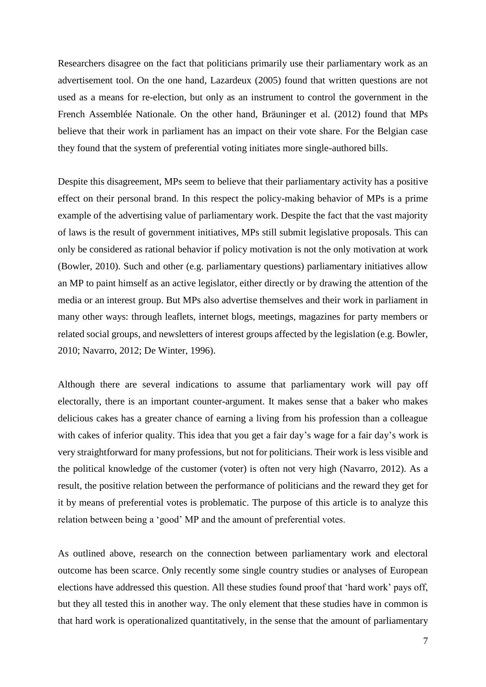Researchers disagree on the fact that politicians primarily use their parliamentary work as an advertisement tool. On the one hand, Lazardeux (2005) found that written questions are not used as a means for re-election, but only as an instrument to control the government in the French Assemblée Nationale. On the other hand, Bräuninger et al. (2012) found that MPs believe that their work in parliament has an impact on their vote share. For the Belgian case they found that the system of preferential voting initiates more single-authored bills.

Despite this disagreement, MPs seem to believe that their parliamentary activity has a positive effect on their personal brand. In this respect the policy-making behavior of MPs is a prime example of the advertising value of parliamentary work. Despite the fact that the vast majority of laws is the result of government initiatives, MPs still submit legislative proposals. This can only be considered as rational behavior if policy motivation is not the only motivation at work (Bowler, 2010). Such and other (e.g. parliamentary questions) parliamentary initiatives allow an MP to paint himself as an active legislator, either directly or by drawing the attention of the media or an interest group. But MPs also advertise themselves and their work in parliament in many other ways: through leaflets, internet blogs, meetings, magazines for party members or related social groups, and newsletters of interest groups affected by the legislation (e.g. Bowler, 2010; Navarro, 2012; De Winter, 1996).

Although there are several indications to assume that parliamentary work will pay off electorally, there is an important counter-argument. It makes sense that a baker who makes delicious cakes has a greater chance of earning a living from his profession than a colleague with cakes of inferior quality. This idea that you get a fair day's wage for a fair day's work is very straightforward for many professions, but not for politicians. Their work is less visible and the political knowledge of the customer (voter) is often not very high (Navarro, 2012). As a result, the positive relation between the performance of politicians and the reward they get for it by means of preferential votes is problematic. The purpose of this article is to analyze this relation between being a 'good' MP and the amount of preferential votes.

As outlined above, research on the connection between parliamentary work and electoral outcome has been scarce. Only recently some single country studies or analyses of European elections have addressed this question. All these studies found proof that 'hard work' pays off, but they all tested this in another way. The only element that these studies have in common is that hard work is operationalized quantitatively, in the sense that the amount of parliamentary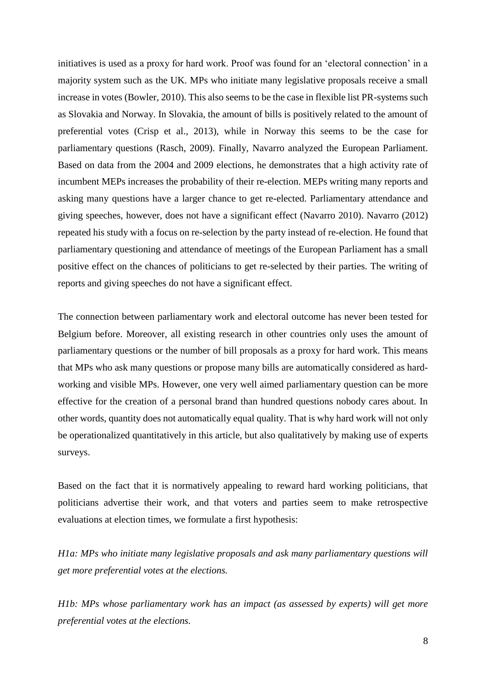initiatives is used as a proxy for hard work. Proof was found for an 'electoral connection' in a majority system such as the UK. MPs who initiate many legislative proposals receive a small increase in votes (Bowler, 2010). This also seems to be the case in flexible list PR-systems such as Slovakia and Norway. In Slovakia, the amount of bills is positively related to the amount of preferential votes (Crisp et al., 2013), while in Norway this seems to be the case for parliamentary questions (Rasch, 2009). Finally, Navarro analyzed the European Parliament. Based on data from the 2004 and 2009 elections, he demonstrates that a high activity rate of incumbent MEPs increases the probability of their re-election. MEPs writing many reports and asking many questions have a larger chance to get re-elected. Parliamentary attendance and giving speeches, however, does not have a significant effect (Navarro 2010). Navarro (2012) repeated his study with a focus on re-selection by the party instead of re-election. He found that parliamentary questioning and attendance of meetings of the European Parliament has a small positive effect on the chances of politicians to get re-selected by their parties. The writing of reports and giving speeches do not have a significant effect.

The connection between parliamentary work and electoral outcome has never been tested for Belgium before. Moreover, all existing research in other countries only uses the amount of parliamentary questions or the number of bill proposals as a proxy for hard work. This means that MPs who ask many questions or propose many bills are automatically considered as hardworking and visible MPs. However, one very well aimed parliamentary question can be more effective for the creation of a personal brand than hundred questions nobody cares about. In other words, quantity does not automatically equal quality. That is why hard work will not only be operationalized quantitatively in this article, but also qualitatively by making use of experts surveys.

Based on the fact that it is normatively appealing to reward hard working politicians, that politicians advertise their work, and that voters and parties seem to make retrospective evaluations at election times, we formulate a first hypothesis:

*H1a: MPs who initiate many legislative proposals and ask many parliamentary questions will get more preferential votes at the elections.*

*H1b: MPs whose parliamentary work has an impact (as assessed by experts) will get more preferential votes at the elections.*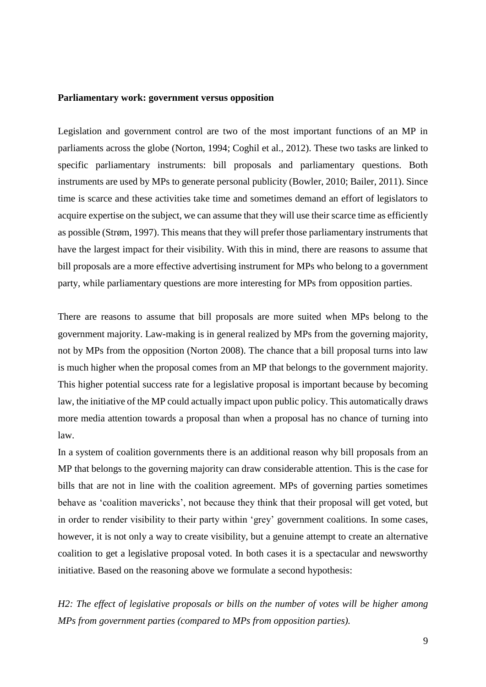#### **Parliamentary work: government versus opposition**

Legislation and government control are two of the most important functions of an MP in parliaments across the globe (Norton, 1994; Coghil et al., 2012). These two tasks are linked to specific parliamentary instruments: bill proposals and parliamentary questions. Both instruments are used by MPs to generate personal publicity (Bowler, 2010; Bailer, 2011). Since time is scarce and these activities take time and sometimes demand an effort of legislators to acquire expertise on the subject, we can assume that they will use their scarce time as efficiently as possible (Strøm, 1997). This means that they will prefer those parliamentary instruments that have the largest impact for their visibility. With this in mind, there are reasons to assume that bill proposals are a more effective advertising instrument for MPs who belong to a government party, while parliamentary questions are more interesting for MPs from opposition parties.

There are reasons to assume that bill proposals are more suited when MPs belong to the government majority. Law-making is in general realized by MPs from the governing majority, not by MPs from the opposition (Norton 2008). The chance that a bill proposal turns into law is much higher when the proposal comes from an MP that belongs to the government majority. This higher potential success rate for a legislative proposal is important because by becoming law, the initiative of the MP could actually impact upon public policy. This automatically draws more media attention towards a proposal than when a proposal has no chance of turning into law.

In a system of coalition governments there is an additional reason why bill proposals from an MP that belongs to the governing majority can draw considerable attention. This is the case for bills that are not in line with the coalition agreement. MPs of governing parties sometimes behave as 'coalition mavericks', not because they think that their proposal will get voted, but in order to render visibility to their party within 'grey' government coalitions. In some cases, however, it is not only a way to create visibility, but a genuine attempt to create an alternative coalition to get a legislative proposal voted. In both cases it is a spectacular and newsworthy initiative. Based on the reasoning above we formulate a second hypothesis:

*H2: The effect of legislative proposals or bills on the number of votes will be higher among MPs from government parties (compared to MPs from opposition parties).*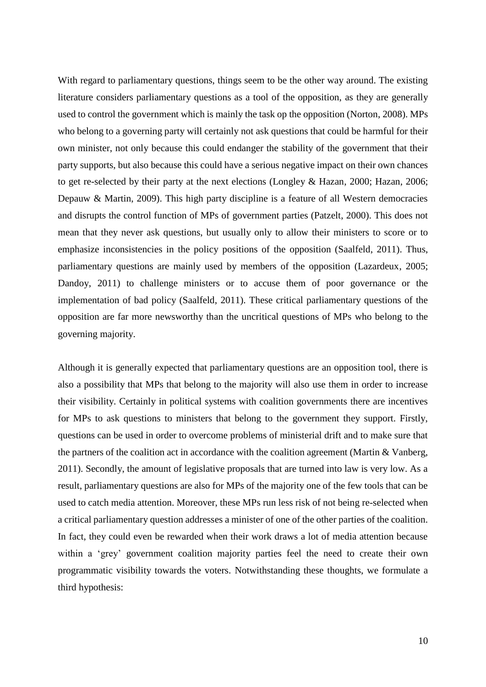With regard to parliamentary questions, things seem to be the other way around. The existing literature considers parliamentary questions as a tool of the opposition, as they are generally used to control the government which is mainly the task op the opposition (Norton, 2008). MPs who belong to a governing party will certainly not ask questions that could be harmful for their own minister, not only because this could endanger the stability of the government that their party supports, but also because this could have a serious negative impact on their own chances to get re-selected by their party at the next elections (Longley & Hazan, 2000; Hazan, 2006; Depauw & Martin, 2009). This high party discipline is a feature of all Western democracies and disrupts the control function of MPs of government parties (Patzelt, 2000). This does not mean that they never ask questions, but usually only to allow their ministers to score or to emphasize inconsistencies in the policy positions of the opposition (Saalfeld, 2011). Thus, parliamentary questions are mainly used by members of the opposition (Lazardeux, 2005; Dandoy, 2011) to challenge ministers or to accuse them of poor governance or the implementation of bad policy (Saalfeld, 2011). These critical parliamentary questions of the opposition are far more newsworthy than the uncritical questions of MPs who belong to the governing majority.

Although it is generally expected that parliamentary questions are an opposition tool, there is also a possibility that MPs that belong to the majority will also use them in order to increase their visibility. Certainly in political systems with coalition governments there are incentives for MPs to ask questions to ministers that belong to the government they support. Firstly, questions can be used in order to overcome problems of ministerial drift and to make sure that the partners of the coalition act in accordance with the coalition agreement (Martin & Vanberg, 2011). Secondly, the amount of legislative proposals that are turned into law is very low. As a result, parliamentary questions are also for MPs of the majority one of the few tools that can be used to catch media attention. Moreover, these MPs run less risk of not being re-selected when a critical parliamentary question addresses a minister of one of the other parties of the coalition. In fact, they could even be rewarded when their work draws a lot of media attention because within a 'grey' government coalition majority parties feel the need to create their own programmatic visibility towards the voters. Notwithstanding these thoughts, we formulate a third hypothesis: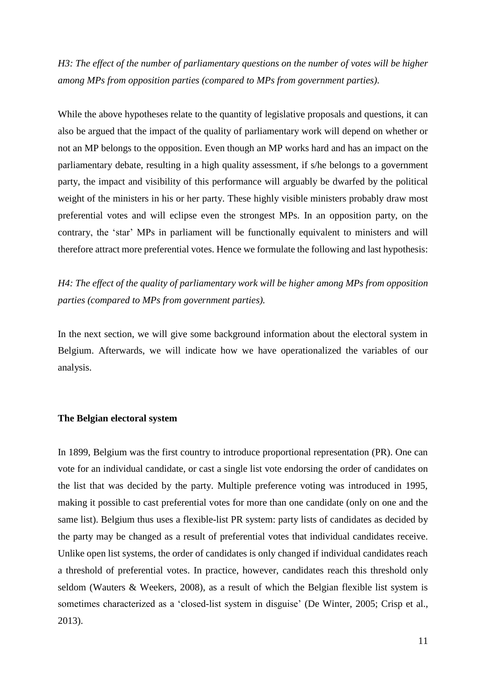*H3: The effect of the number of parliamentary questions on the number of votes will be higher among MPs from opposition parties (compared to MPs from government parties).*

While the above hypotheses relate to the quantity of legislative proposals and questions, it can also be argued that the impact of the quality of parliamentary work will depend on whether or not an MP belongs to the opposition. Even though an MP works hard and has an impact on the parliamentary debate, resulting in a high quality assessment, if s/he belongs to a government party, the impact and visibility of this performance will arguably be dwarfed by the political weight of the ministers in his or her party. These highly visible ministers probably draw most preferential votes and will eclipse even the strongest MPs. In an opposition party, on the contrary, the 'star' MPs in parliament will be functionally equivalent to ministers and will therefore attract more preferential votes. Hence we formulate the following and last hypothesis:

*H4: The effect of the quality of parliamentary work will be higher among MPs from opposition parties (compared to MPs from government parties).*

In the next section, we will give some background information about the electoral system in Belgium. Afterwards, we will indicate how we have operationalized the variables of our analysis.

#### **The Belgian electoral system**

In 1899, Belgium was the first country to introduce proportional representation (PR). One can vote for an individual candidate, or cast a single list vote endorsing the order of candidates on the list that was decided by the party. Multiple preference voting was introduced in 1995, making it possible to cast preferential votes for more than one candidate (only on one and the same list). Belgium thus uses a flexible-list PR system: party lists of candidates as decided by the party may be changed as a result of preferential votes that individual candidates receive. Unlike open list systems, the order of candidates is only changed if individual candidates reach a threshold of preferential votes. In practice, however, candidates reach this threshold only seldom (Wauters & Weekers, 2008), as a result of which the Belgian flexible list system is sometimes characterized as a 'closed-list system in disguise' (De Winter, 2005; Crisp et al., 2013).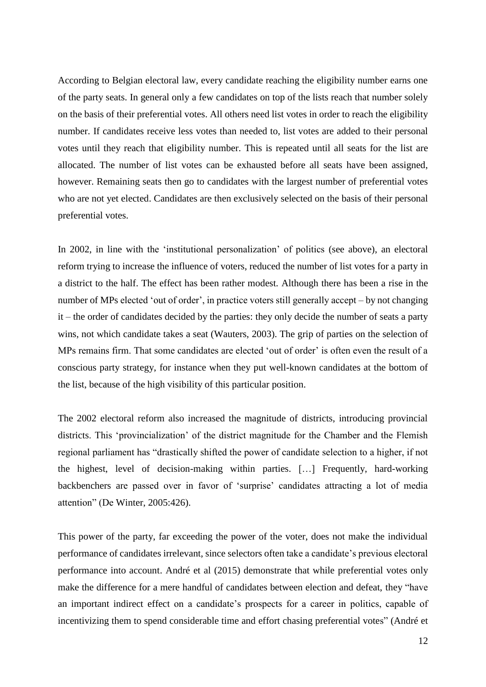According to Belgian electoral law, every candidate reaching the eligibility number earns one of the party seats. In general only a few candidates on top of the lists reach that number solely on the basis of their preferential votes. All others need list votes in order to reach the eligibility number. If candidates receive less votes than needed to, list votes are added to their personal votes until they reach that eligibility number. This is repeated until all seats for the list are allocated. The number of list votes can be exhausted before all seats have been assigned, however. Remaining seats then go to candidates with the largest number of preferential votes who are not yet elected. Candidates are then exclusively selected on the basis of their personal preferential votes.

In 2002, in line with the 'institutional personalization' of politics (see above), an electoral reform trying to increase the influence of voters, reduced the number of list votes for a party in a district to the half. The effect has been rather modest. Although there has been a rise in the number of MPs elected 'out of order', in practice voters still generally accept – by not changing it – the order of candidates decided by the parties: they only decide the number of seats a party wins, not which candidate takes a seat (Wauters, 2003). The grip of parties on the selection of MPs remains firm. That some candidates are elected 'out of order' is often even the result of a conscious party strategy, for instance when they put well-known candidates at the bottom of the list, because of the high visibility of this particular position.

The 2002 electoral reform also increased the magnitude of districts, introducing provincial districts. This 'provincialization' of the district magnitude for the Chamber and the Flemish regional parliament has "drastically shifted the power of candidate selection to a higher, if not the highest, level of decision-making within parties. […] Frequently, hard-working backbenchers are passed over in favor of 'surprise' candidates attracting a lot of media attention" (De Winter, 2005:426).

This power of the party, far exceeding the power of the voter, does not make the individual performance of candidates irrelevant, since selectors often take a candidate's previous electoral performance into account. André et al (2015) demonstrate that while preferential votes only make the difference for a mere handful of candidates between election and defeat, they "have an important indirect effect on a candidate's prospects for a career in politics, capable of incentivizing them to spend considerable time and effort chasing preferential votes" (André et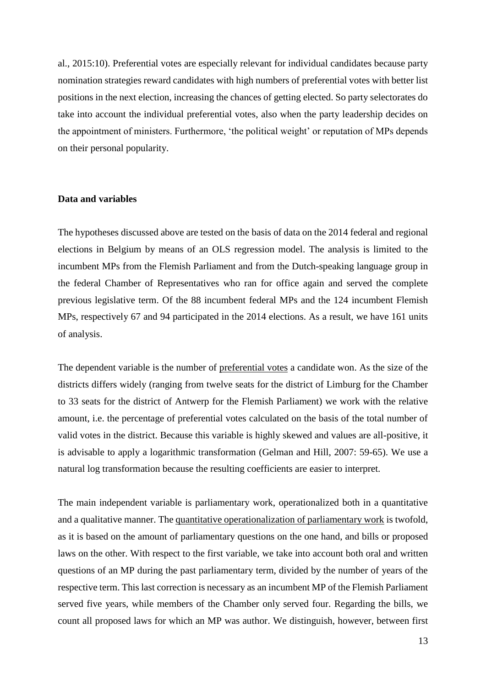al., 2015:10). Preferential votes are especially relevant for individual candidates because party nomination strategies reward candidates with high numbers of preferential votes with better list positions in the next election, increasing the chances of getting elected. So party selectorates do take into account the individual preferential votes, also when the party leadership decides on the appointment of ministers. Furthermore, 'the political weight' or reputation of MPs depends on their personal popularity.

#### **Data and variables**

The hypotheses discussed above are tested on the basis of data on the 2014 federal and regional elections in Belgium by means of an OLS regression model. The analysis is limited to the incumbent MPs from the Flemish Parliament and from the Dutch-speaking language group in the federal Chamber of Representatives who ran for office again and served the complete previous legislative term. Of the 88 incumbent federal MPs and the 124 incumbent Flemish MPs, respectively 67 and 94 participated in the 2014 elections. As a result, we have 161 units of analysis.

The dependent variable is the number of preferential votes a candidate won. As the size of the districts differs widely (ranging from twelve seats for the district of Limburg for the Chamber to 33 seats for the district of Antwerp for the Flemish Parliament) we work with the relative amount, i.e. the percentage of preferential votes calculated on the basis of the total number of valid votes in the district. Because this variable is highly skewed and values are all-positive, it is advisable to apply a logarithmic transformation (Gelman and Hill, 2007: 59-65). We use a natural log transformation because the resulting coefficients are easier to interpret.

The main independent variable is parliamentary work, operationalized both in a quantitative and a qualitative manner. The quantitative operationalization of parliamentary work is twofold, as it is based on the amount of parliamentary questions on the one hand, and bills or proposed laws on the other. With respect to the first variable, we take into account both oral and written questions of an MP during the past parliamentary term, divided by the number of years of the respective term. This last correction is necessary as an incumbent MP of the Flemish Parliament served five years, while members of the Chamber only served four. Regarding the bills, we count all proposed laws for which an MP was author. We distinguish, however, between first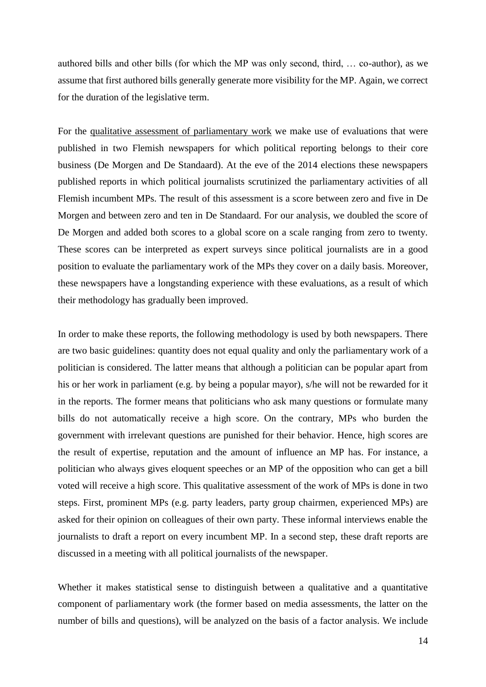authored bills and other bills (for which the MP was only second, third, … co-author), as we assume that first authored bills generally generate more visibility for the MP. Again, we correct for the duration of the legislative term.

For the qualitative assessment of parliamentary work we make use of evaluations that were published in two Flemish newspapers for which political reporting belongs to their core business (De Morgen and De Standaard). At the eve of the 2014 elections these newspapers published reports in which political journalists scrutinized the parliamentary activities of all Flemish incumbent MPs. The result of this assessment is a score between zero and five in De Morgen and between zero and ten in De Standaard. For our analysis, we doubled the score of De Morgen and added both scores to a global score on a scale ranging from zero to twenty. These scores can be interpreted as expert surveys since political journalists are in a good position to evaluate the parliamentary work of the MPs they cover on a daily basis. Moreover, these newspapers have a longstanding experience with these evaluations, as a result of which their methodology has gradually been improved.

In order to make these reports, the following methodology is used by both newspapers. There are two basic guidelines: quantity does not equal quality and only the parliamentary work of a politician is considered. The latter means that although a politician can be popular apart from his or her work in parliament (e.g. by being a popular mayor), s/he will not be rewarded for it in the reports. The former means that politicians who ask many questions or formulate many bills do not automatically receive a high score. On the contrary, MPs who burden the government with irrelevant questions are punished for their behavior. Hence, high scores are the result of expertise, reputation and the amount of influence an MP has. For instance, a politician who always gives eloquent speeches or an MP of the opposition who can get a bill voted will receive a high score. This qualitative assessment of the work of MPs is done in two steps. First, prominent MPs (e.g. party leaders, party group chairmen, experienced MPs) are asked for their opinion on colleagues of their own party. These informal interviews enable the journalists to draft a report on every incumbent MP. In a second step, these draft reports are discussed in a meeting with all political journalists of the newspaper.

Whether it makes statistical sense to distinguish between a qualitative and a quantitative component of parliamentary work (the former based on media assessments, the latter on the number of bills and questions), will be analyzed on the basis of a factor analysis. We include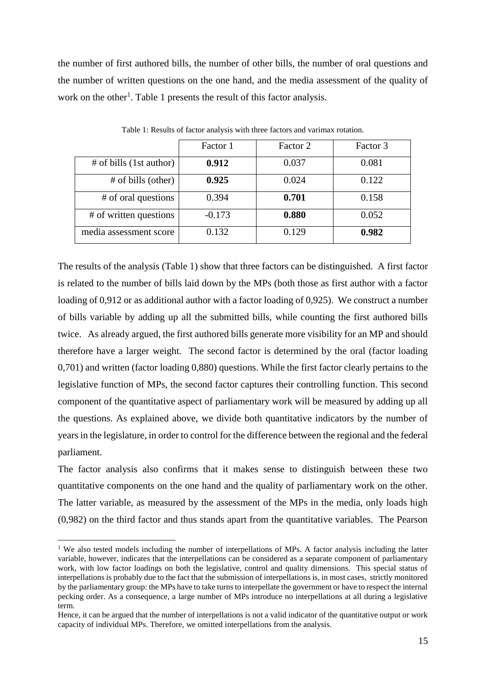the number of first authored bills, the number of other bills, the number of oral questions and the number of written questions on the one hand, and the media assessment of the quality of work on the other<sup>1</sup>. Table 1 presents the result of this factor analysis.

|                         | Factor 1 | Factor 2 | Factor 3 |
|-------------------------|----------|----------|----------|
| # of bills (1st author) | 0.912    | 0.037    | 0.081    |
| # of bills (other)      | 0.925    | 0.024    | 0.122    |
| # of oral questions     | 0.394    | 0.701    | 0.158    |
| # of written questions  | $-0.173$ | 0.880    | 0.052    |
| media assessment score  | 0.132    | 0.129    | 0.982    |

Table 1: Results of factor analysis with three factors and varimax rotation.

The results of the analysis (Table 1) show that three factors can be distinguished. A first factor is related to the number of bills laid down by the MPs (both those as first author with a factor loading of 0,912 or as additional author with a factor loading of 0,925). We construct a number of bills variable by adding up all the submitted bills, while counting the first authored bills twice. As already argued, the first authored bills generate more visibility for an MP and should therefore have a larger weight. The second factor is determined by the oral (factor loading 0,701) and written (factor loading 0,880) questions. While the first factor clearly pertains to the legislative function of MPs, the second factor captures their controlling function. This second component of the quantitative aspect of parliamentary work will be measured by adding up all the questions. As explained above, we divide both quantitative indicators by the number of years in the legislature, in order to control for the difference between the regional and the federal parliament.

The factor analysis also confirms that it makes sense to distinguish between these two quantitative components on the one hand and the quality of parliamentary work on the other. The latter variable, as measured by the assessment of the MPs in the media, only loads high (0,982) on the third factor and thus stands apart from the quantitative variables. The Pearson

 $\overline{a}$ 

<sup>&</sup>lt;sup>1</sup> We also tested models including the number of interpellations of MPs. A factor analysis including the latter variable, however, indicates that the interpellations can be considered as a separate component of parliamentary work, with low factor loadings on both the legislative, control and quality dimensions. This special status of interpellations is probably due to the fact that the submission of interpellations is, in most cases, strictly monitored by the parliamentary group: the MPs have to take turns to interpellate the government or have to respect the internal pecking order. As a consequence, a large number of MPs introduce no interpellations at all during a legislative term.

Hence, it can be argued that the number of interpellations is not a valid indicator of the quantitative output or work capacity of individual MPs. Therefore, we omitted interpellations from the analysis.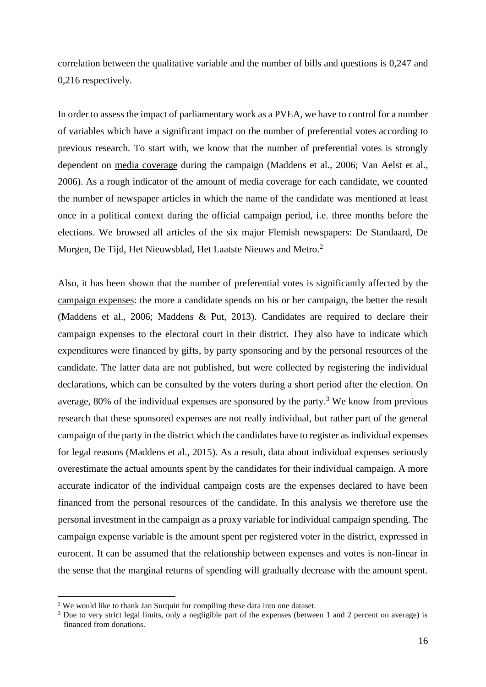correlation between the qualitative variable and the number of bills and questions is 0,247 and 0,216 respectively.

In order to assess the impact of parliamentary work as a PVEA, we have to control for a number of variables which have a significant impact on the number of preferential votes according to previous research. To start with, we know that the number of preferential votes is strongly dependent on media coverage during the campaign (Maddens et al., 2006; Van Aelst et al., 2006). As a rough indicator of the amount of media coverage for each candidate, we counted the number of newspaper articles in which the name of the candidate was mentioned at least once in a political context during the official campaign period, i.e. three months before the elections. We browsed all articles of the six major Flemish newspapers: De Standaard, De Morgen, De Tijd, Het Nieuwsblad, Het Laatste Nieuws and Metro.<sup>2</sup>

Also, it has been shown that the number of preferential votes is significantly affected by the campaign expenses: the more a candidate spends on his or her campaign, the better the result (Maddens et al., 2006; Maddens & Put, 2013). Candidates are required to declare their campaign expenses to the electoral court in their district. They also have to indicate which expenditures were financed by gifts, by party sponsoring and by the personal resources of the candidate. The latter data are not published, but were collected by registering the individual declarations, which can be consulted by the voters during a short period after the election. On average, 80% of the individual expenses are sponsored by the party. <sup>3</sup> We know from previous research that these sponsored expenses are not really individual, but rather part of the general campaign of the party in the district which the candidates have to register as individual expenses for legal reasons (Maddens et al., 2015). As a result, data about individual expenses seriously overestimate the actual amounts spent by the candidates for their individual campaign. A more accurate indicator of the individual campaign costs are the expenses declared to have been financed from the personal resources of the candidate. In this analysis we therefore use the personal investment in the campaign as a proxy variable for individual campaign spending. The campaign expense variable is the amount spent per registered voter in the district, expressed in eurocent. It can be assumed that the relationship between expenses and votes is non-linear in the sense that the marginal returns of spending will gradually decrease with the amount spent.

 $\overline{a}$ 

<sup>&</sup>lt;sup>2</sup> We would like to thank Jan Surquin for compiling these data into one dataset.

<sup>&</sup>lt;sup>3</sup> Due to very strict legal limits, only a negligible part of the expenses (between 1 and 2 percent on average) is financed from donations.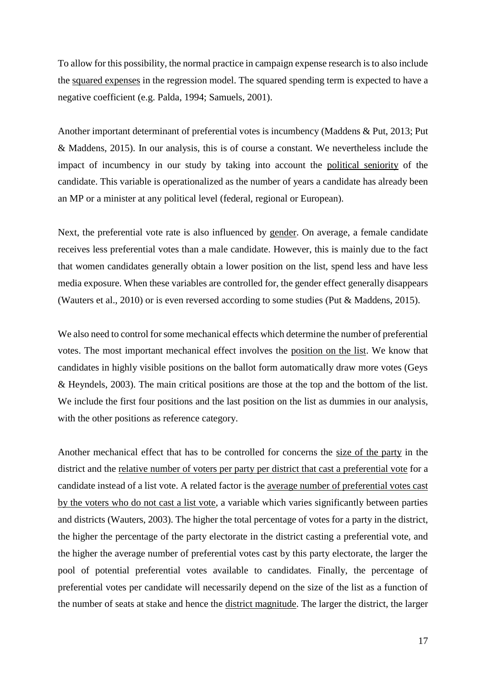To allow for this possibility, the normal practice in campaign expense research is to also include the squared expenses in the regression model. The squared spending term is expected to have a negative coefficient (e.g. Palda, 1994; Samuels, 2001).

Another important determinant of preferential votes is incumbency (Maddens & Put, 2013; Put & Maddens, 2015). In our analysis, this is of course a constant. We nevertheless include the impact of incumbency in our study by taking into account the political seniority of the candidate. This variable is operationalized as the number of years a candidate has already been an MP or a minister at any political level (federal, regional or European).

Next, the preferential vote rate is also influenced by gender. On average, a female candidate receives less preferential votes than a male candidate. However, this is mainly due to the fact that women candidates generally obtain a lower position on the list, spend less and have less media exposure. When these variables are controlled for, the gender effect generally disappears (Wauters et al., 2010) or is even reversed according to some studies (Put & Maddens, 2015).

We also need to control for some mechanical effects which determine the number of preferential votes. The most important mechanical effect involves the position on the list. We know that candidates in highly visible positions on the ballot form automatically draw more votes (Geys & Heyndels, 2003). The main critical positions are those at the top and the bottom of the list. We include the first four positions and the last position on the list as dummies in our analysis, with the other positions as reference category.

Another mechanical effect that has to be controlled for concerns the size of the party in the district and the relative number of voters per party per district that cast a preferential vote for a candidate instead of a list vote. A related factor is the average number of preferential votes cast by the voters who do not cast a list vote, a variable which varies significantly between parties and districts (Wauters, 2003). The higher the total percentage of votes for a party in the district, the higher the percentage of the party electorate in the district casting a preferential vote, and the higher the average number of preferential votes cast by this party electorate, the larger the pool of potential preferential votes available to candidates. Finally, the percentage of preferential votes per candidate will necessarily depend on the size of the list as a function of the number of seats at stake and hence the district magnitude. The larger the district, the larger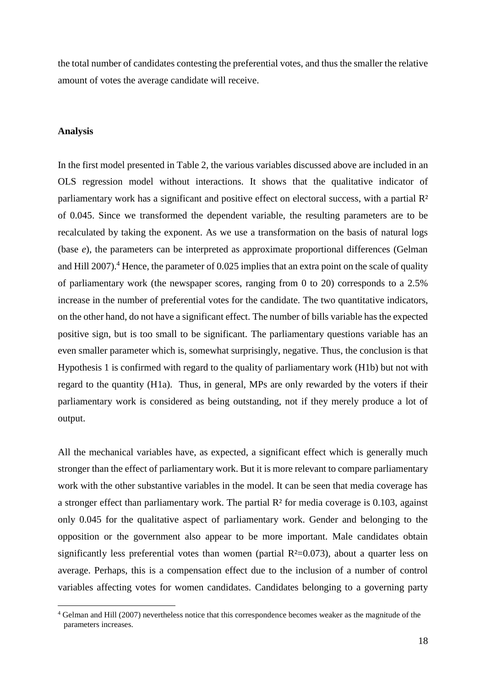the total number of candidates contesting the preferential votes, and thus the smaller the relative amount of votes the average candidate will receive.

#### **Analysis**

 $\overline{a}$ 

In the first model presented in Table 2, the various variables discussed above are included in an OLS regression model without interactions. It shows that the qualitative indicator of parliamentary work has a significant and positive effect on electoral success, with a partial R² of 0.045. Since we transformed the dependent variable, the resulting parameters are to be recalculated by taking the exponent. As we use a transformation on the basis of natural logs (base *e*), the parameters can be interpreted as approximate proportional differences (Gelman and Hill 2007).<sup>4</sup> Hence, the parameter of 0.025 implies that an extra point on the scale of quality of parliamentary work (the newspaper scores, ranging from 0 to 20) corresponds to a 2.5% increase in the number of preferential votes for the candidate. The two quantitative indicators, on the other hand, do not have a significant effect. The number of bills variable has the expected positive sign, but is too small to be significant. The parliamentary questions variable has an even smaller parameter which is, somewhat surprisingly, negative. Thus, the conclusion is that Hypothesis 1 is confirmed with regard to the quality of parliamentary work (H1b) but not with regard to the quantity (H1a). Thus, in general, MPs are only rewarded by the voters if their parliamentary work is considered as being outstanding, not if they merely produce a lot of output.

All the mechanical variables have, as expected, a significant effect which is generally much stronger than the effect of parliamentary work. But it is more relevant to compare parliamentary work with the other substantive variables in the model. It can be seen that media coverage has a stronger effect than parliamentary work. The partial R<sup>2</sup> for media coverage is 0.103, against only 0.045 for the qualitative aspect of parliamentary work. Gender and belonging to the opposition or the government also appear to be more important. Male candidates obtain significantly less preferential votes than women (partial  $R<sup>2</sup>=0.073$ ), about a quarter less on average. Perhaps, this is a compensation effect due to the inclusion of a number of control variables affecting votes for women candidates. Candidates belonging to a governing party

<sup>4</sup> Gelman and Hill (2007) nevertheless notice that this correspondence becomes weaker as the magnitude of the parameters increases.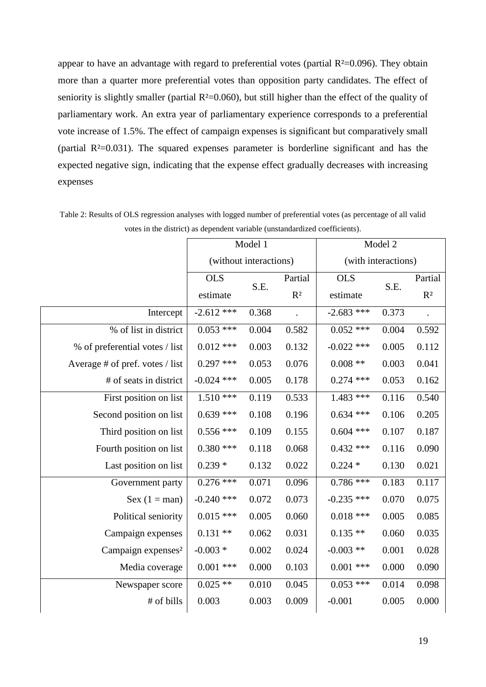appear to have an advantage with regard to preferential votes (partial  $R<sup>2</sup>=0.096$ ). They obtain more than a quarter more preferential votes than opposition party candidates. The effect of seniority is slightly smaller (partial  $R<sup>2</sup>=0.060$ ), but still higher than the effect of the quality of parliamentary work. An extra year of parliamentary experience corresponds to a preferential vote increase of 1.5%. The effect of campaign expenses is significant but comparatively small (partial  $R<sup>2</sup>=0.031$ ). The squared expenses parameter is borderline significant and has the expected negative sign, indicating that the expense effect gradually decreases with increasing expenses

|                                 | Model 1                |       |                           | Model 2             |       |                |  |
|---------------------------------|------------------------|-------|---------------------------|---------------------|-------|----------------|--|
|                                 | (without interactions) |       |                           | (with interactions) |       |                |  |
|                                 | <b>OLS</b>             | S.E.  | Partial<br>R <sup>2</sup> | <b>OLS</b>          | S.E.  | Partial        |  |
|                                 | estimate               |       |                           | estimate            |       | R <sup>2</sup> |  |
| Intercept                       | $-2.612$ ***           | 0.368 |                           | $-2.683$ ***        | 0.373 |                |  |
| % of list in district           | $0.053$ ***            | 0.004 | 0.582                     | $0.052$ ***         | 0.004 | 0.592          |  |
| % of preferential votes / list  | $0.012$ ***            | 0.003 | 0.132                     | $-0.022$ ***        | 0.005 | 0.112          |  |
| Average # of pref. votes / list | $0.297$ ***            | 0.053 | 0.076                     | $0.008$ **          | 0.003 | 0.041          |  |
| # of seats in district          | $-0.024$ ***           | 0.005 | 0.178                     | $0.274$ ***         | 0.053 | 0.162          |  |
| First position on list          | $1.510***$             | 0.119 | 0.533                     | $1.483$ ***         | 0.116 | 0.540          |  |
| Second position on list         | $0.639$ ***            | 0.108 | 0.196                     | $0.634$ ***         | 0.106 | 0.205          |  |
| Third position on list          | $0.556$ ***            | 0.109 | 0.155                     | $0.604$ ***         | 0.107 | 0.187          |  |
| Fourth position on list         | $0.380$ ***            | 0.118 | 0.068                     | $0.432$ ***         | 0.116 | 0.090          |  |
| Last position on list           | $0.239*$               | 0.132 | 0.022                     | $0.224*$            | 0.130 | 0.021          |  |
| Government party                | $0.276$ ***            | 0.071 | 0.096                     | $0.786$ ***         | 0.183 | 0.117          |  |
| Sex $(1 = man)$                 | $-0.240$ ***           | 0.072 | 0.073                     | $-0.235$ ***        | 0.070 | 0.075          |  |
| Political seniority             | $0.015$ ***            | 0.005 | 0.060                     | $0.018$ ***         | 0.005 | 0.085          |  |
| Campaign expenses               | $0.131**$              | 0.062 | 0.031                     | $0.135**$           | 0.060 | 0.035          |  |
| Campaign expenses <sup>2</sup>  | $-0.003*$              | 0.002 | 0.024                     | $-0.003$ **         | 0.001 | 0.028          |  |
| Media coverage                  | $0.001$ ***            | 0.000 | 0.103                     | $0.001$ ***         | 0.000 | 0.090          |  |
| Newspaper score                 | $0.025$ **             | 0.010 | 0.045                     | $0.053$ ***         | 0.014 | 0.098          |  |
| # of bills                      | 0.003                  | 0.003 | 0.009                     | $-0.001$            | 0.005 | 0.000          |  |

Table 2: Results of OLS regression analyses with logged number of preferential votes (as percentage of all valid votes in the district) as dependent variable (unstandardized coefficients).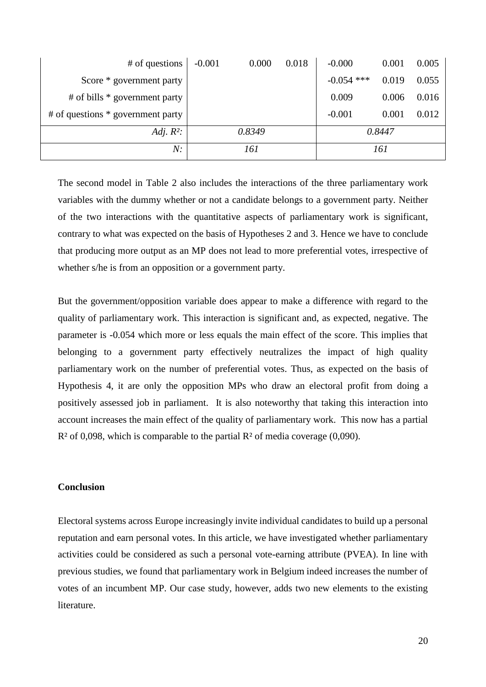| # of questions                    | $-0.001$ | 0.000  | 0.018 | $-0.000$     | 0.001 | 0.005 |
|-----------------------------------|----------|--------|-------|--------------|-------|-------|
| Score * government party          |          |        |       | $-0.054$ *** | 0.019 | 0.055 |
| $#$ of bills $*$ government party |          |        |       | 0.009        | 0.006 | 0.016 |
| # of questions * government party |          |        |       | $-0.001$     | 0.001 | 0.012 |
| Adj. $R^2$ :                      |          | 0.8349 |       | 0.8447       |       |       |
| N:                                |          | 161    |       | 161          |       |       |

The second model in Table 2 also includes the interactions of the three parliamentary work variables with the dummy whether or not a candidate belongs to a government party. Neither of the two interactions with the quantitative aspects of parliamentary work is significant, contrary to what was expected on the basis of Hypotheses 2 and 3. Hence we have to conclude that producing more output as an MP does not lead to more preferential votes, irrespective of whether s/he is from an opposition or a government party.

But the government/opposition variable does appear to make a difference with regard to the quality of parliamentary work. This interaction is significant and, as expected, negative. The parameter is -0.054 which more or less equals the main effect of the score. This implies that belonging to a government party effectively neutralizes the impact of high quality parliamentary work on the number of preferential votes. Thus, as expected on the basis of Hypothesis 4, it are only the opposition MPs who draw an electoral profit from doing a positively assessed job in parliament. It is also noteworthy that taking this interaction into account increases the main effect of the quality of parliamentary work. This now has a partial  $R<sup>2</sup>$  of 0,098, which is comparable to the partial  $R<sup>2</sup>$  of media coverage (0,090).

#### **Conclusion**

Electoral systems across Europe increasingly invite individual candidates to build up a personal reputation and earn personal votes. In this article, we have investigated whether parliamentary activities could be considered as such a personal vote-earning attribute (PVEA). In line with previous studies, we found that parliamentary work in Belgium indeed increases the number of votes of an incumbent MP. Our case study, however, adds two new elements to the existing literature.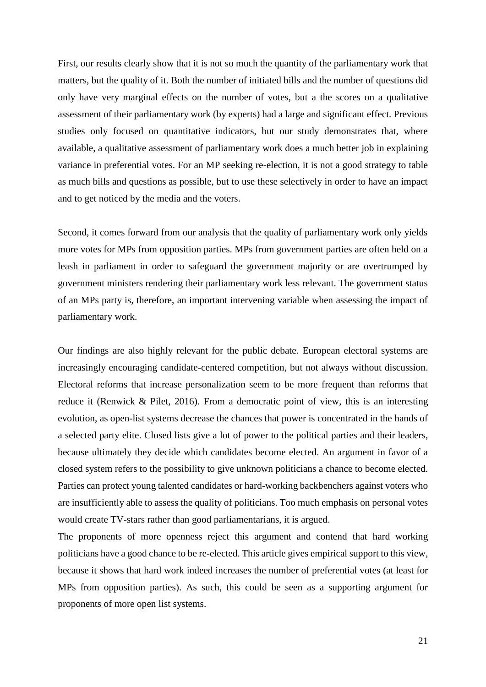First, our results clearly show that it is not so much the quantity of the parliamentary work that matters, but the quality of it. Both the number of initiated bills and the number of questions did only have very marginal effects on the number of votes, but a the scores on a qualitative assessment of their parliamentary work (by experts) had a large and significant effect. Previous studies only focused on quantitative indicators, but our study demonstrates that, where available, a qualitative assessment of parliamentary work does a much better job in explaining variance in preferential votes. For an MP seeking re-election, it is not a good strategy to table as much bills and questions as possible, but to use these selectively in order to have an impact and to get noticed by the media and the voters.

Second, it comes forward from our analysis that the quality of parliamentary work only yields more votes for MPs from opposition parties. MPs from government parties are often held on a leash in parliament in order to safeguard the government majority or are overtrumped by government ministers rendering their parliamentary work less relevant. The government status of an MPs party is, therefore, an important intervening variable when assessing the impact of parliamentary work.

Our findings are also highly relevant for the public debate. European electoral systems are increasingly encouraging candidate-centered competition, but not always without discussion. Electoral reforms that increase personalization seem to be more frequent than reforms that reduce it (Renwick & Pilet, 2016). From a democratic point of view, this is an interesting evolution, as open-list systems decrease the chances that power is concentrated in the hands of a selected party elite. Closed lists give a lot of power to the political parties and their leaders, because ultimately they decide which candidates become elected. An argument in favor of a closed system refers to the possibility to give unknown politicians a chance to become elected. Parties can protect young talented candidates or hard-working backbenchers against voters who are insufficiently able to assess the quality of politicians. Too much emphasis on personal votes would create TV-stars rather than good parliamentarians, it is argued.

The proponents of more openness reject this argument and contend that hard working politicians have a good chance to be re-elected. This article gives empirical support to this view, because it shows that hard work indeed increases the number of preferential votes (at least for MPs from opposition parties). As such, this could be seen as a supporting argument for proponents of more open list systems.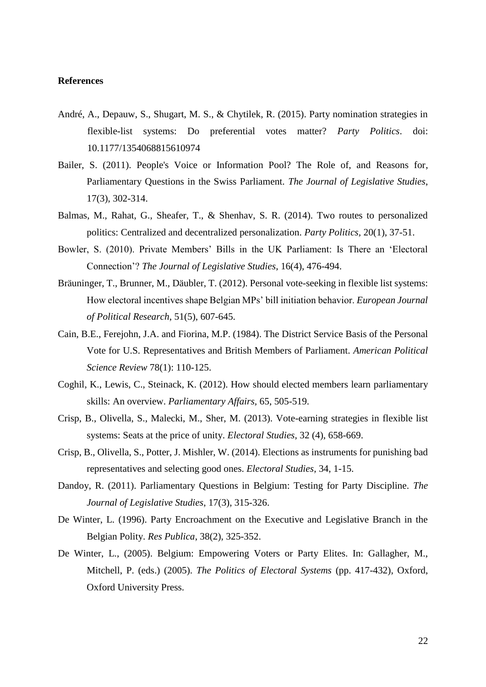## **References**

- André, A., Depauw, S., Shugart, M. S., & Chytilek, R. (2015). Party nomination strategies in flexible-list systems: Do preferential votes matter? *Party Politics*. doi: 10.1177/1354068815610974
- Bailer, S. (2011). People's Voice or Information Pool? The Role of, and Reasons for, Parliamentary Questions in the Swiss Parliament. *The Journal of Legislative Studies*, 17(3), 302-314.
- Balmas, M., Rahat, G., Sheafer, T., & Shenhav, S. R. (2014). Two routes to personalized politics: Centralized and decentralized personalization. *Party Politics,* 20(1), 37-51.
- Bowler, S. (2010). Private Members' Bills in the UK Parliament: Is There an 'Electoral Connection'? *The Journal of Legislative Studies*, 16(4), 476-494.
- Bräuninger, T., Brunner, M., Däubler, T. (2012). Personal vote-seeking in flexible list systems: How electoral incentives shape Belgian MPs' bill initiation behavior. *European Journal of Political Research*, 51(5), 607-645.
- Cain, B.E., Ferejohn, J.A. and Fiorina, M.P. (1984). The District Service Basis of the Personal Vote for U.S. Representatives and British Members of Parliament. *American Political Science Review* 78(1): 110-125.
- Coghil, K., Lewis, C., Steinack, K. (2012). How should elected members learn parliamentary skills: An overview. *Parliamentary Affairs,* 65, 505-519.
- Crisp, B., Olivella, S., Malecki, M., Sher, M. (2013). Vote-earning strategies in flexible list systems: Seats at the price of unity. *Electoral Studies*, 32 (4), 658-669.
- Crisp, B., Olivella, S., Potter, J. Mishler, W. (2014). Elections as instruments for punishing bad representatives and selecting good ones. *Electoral Studies*, 34, 1-15.
- Dandoy, R. (2011). Parliamentary Questions in Belgium: Testing for Party Discipline. *The Journal of Legislative Studies*, 17(3), 315-326.
- De Winter, L. (1996). Party Encroachment on the Executive and Legislative Branch in the Belgian Polity. *Res Publica*, 38(2), 325-352.
- De Winter, L., (2005). Belgium: Empowering Voters or Party Elites. In: Gallagher, M., Mitchell, P. (eds.) (2005). *The Politics of Electoral Systems* (pp. 417-432), Oxford, Oxford University Press.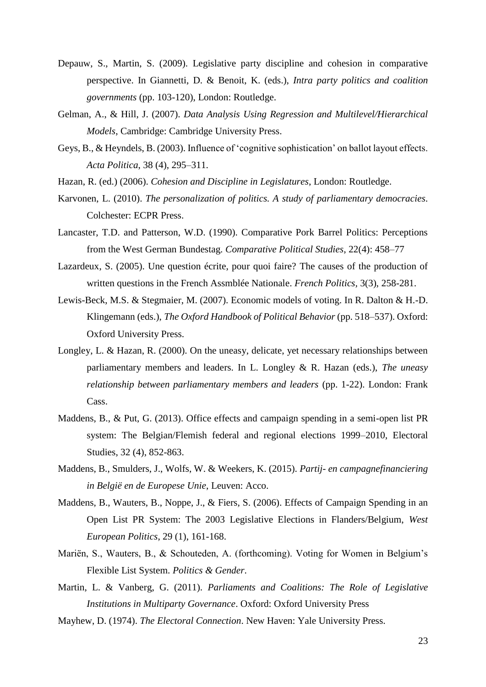- Depauw, S., Martin, S. (2009). Legislative party discipline and cohesion in comparative perspective. In Giannetti, D. & Benoit, K. (eds.), *Intra party politics and coalition governments* (pp. 103-120), London: Routledge.
- Gelman, A., & Hill, J. (2007). *Data Analysis Using Regression and Multilevel/Hierarchical Models*, Cambridge: Cambridge University Press.
- Geys, B., & Heyndels, B. (2003). Influence of 'cognitive sophistication' on ballot layout effects. *Acta Politica*, 38 (4), 295–311.
- Hazan, R. (ed.) (2006). *Cohesion and Discipline in Legislatures*, London: Routledge.
- Karvonen, L. (2010). *The personalization of politics. A study of parliamentary democracies*. Colchester: ECPR Press.
- Lancaster, T.D. and Patterson, W.D. (1990). Comparative Pork Barrel Politics: Perceptions from the West German Bundestag. *Comparative Political Studies*, 22(4): 458–77
- Lazardeux, S. (2005). Une question écrite, pour quoi faire? The causes of the production of written questions in the French Assmblée Nationale. *French Politics,* 3(3), 258-281.
- Lewis-Beck, M.S. & Stegmaier, M. (2007). Economic models of voting. In R. Dalton & H.-D. Klingemann (eds.), *The Oxford Handbook of Political Behavior* (pp. 518–537). Oxford: Oxford University Press.
- Longley, L. & Hazan, R. (2000). On the uneasy, delicate, yet necessary relationships between parliamentary members and leaders. In L. Longley & R. Hazan (eds.), *The uneasy relationship between parliamentary members and leaders* (pp. 1-22). London: Frank Cass.
- Maddens, B., & Put, G. (2013). Office effects and campaign spending in a semi-open list PR system: The Belgian/Flemish federal and regional elections 1999–2010, Electoral Studies, 32 (4), 852-863.
- Maddens, B., Smulders, J., Wolfs, W. & Weekers, K. (2015). *Partij- en campagnefinanciering in België en de Europese Unie*, Leuven: Acco.
- Maddens, B., Wauters, B., Noppe, J., & Fiers, S. (2006). Effects of Campaign Spending in an Open List PR System: The 2003 Legislative Elections in Flanders/Belgium, *West European Politics*, 29 (1), 161-168.
- Mariën, S., Wauters, B., & Schouteden, A. (forthcoming). Voting for Women in Belgium's Flexible List System. *Politics & Gender*.
- Martin, L. & Vanberg, G. (2011). *Parliaments and Coalitions: The Role of Legislative Institutions in Multiparty Governance*. Oxford: Oxford University Press
- Mayhew, D. (1974). *The Electoral Connection*. New Haven: Yale University Press.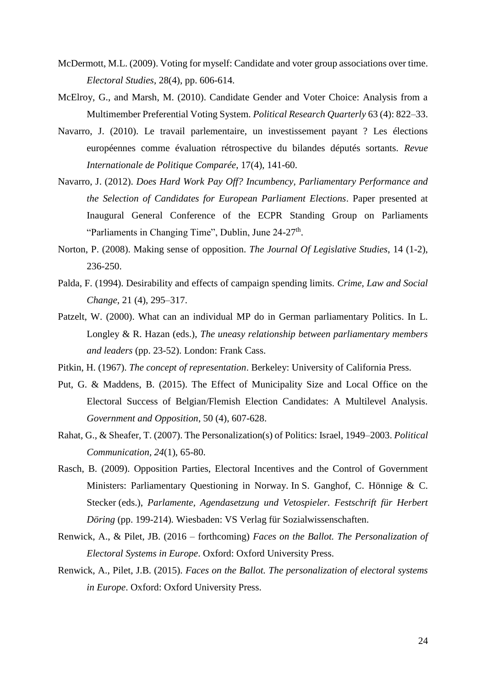- McDermott, M.L. (2009). Voting for myself: Candidate and voter group associations over time. *[Electoral Studies](http://www.sciencedirect.com/science/journal/02613794)*, [28\(4\)](http://www.sciencedirect.com/science?_ob=PublicationURL&_tockey=%23TOC%235904%232009%23999719995%231558234%23FLA%23&_cdi=5904&_pubType=J&view=c&_auth=y&_acct=C000050221&_version=1&_urlVersion=0&_userid=10&md5=2ae1c2e39af1f27854af57113f521b8a), pp. 606-614.
- McElroy, G., and Marsh, M. (2010). Candidate Gender and Voter Choice: Analysis from a Multimember Preferential Voting System. *Political Research Quarterly* 63 (4): 822–33.
- Navarro, J. (2010). Le travail parlementaire, un investissement payant ? Les élections européennes comme évaluation rétrospective du bilandes députés sortants. *Revue Internationale de Politique Comparée*, 17(4), 141-60.
- Navarro, J. (2012). *Does Hard Work Pay Off? Incumbency, Parliamentary Performance and the Selection of Candidates for European Parliament Elections*. Paper presented at Inaugural General Conference of the ECPR Standing Group on Parliaments "Parliaments in Changing Time", Dublin, June 24-27<sup>th</sup>.
- Norton, P. (2008). Making sense of opposition. *The Journal Of Legislative Studies*, 14 (1-2), 236-250.
- Palda, F. (1994). Desirability and effects of campaign spending limits. *Crime, Law and Social Change*, 21 (4), 295–317.
- Patzelt, W. (2000). What can an individual MP do in German parliamentary Politics. In L. Longley & R. Hazan (eds.), *The uneasy relationship between parliamentary members and leaders* (pp. 23-52). London: Frank Cass.
- Pitkin, H. (1967). *The concept of representation*. Berkeley: University of California Press.
- Put, G. & Maddens, B. (2015). The Effect of Municipality Size and Local Office on the Electoral Success of Belgian/Flemish Election Candidates: A Multilevel Analysis. *Government and Opposition*, 50 (4), 607-628.
- Rahat, G., & Sheafer, T. (2007). The Personalization(s) of Politics: Israel, 1949–2003. *Political Communication, 24*(1), 65-80.
- Rasch, B. (2009). Opposition Parties, Electoral Incentives and the Control of Government Ministers: Parliamentary Questioning in Norway. In S. Ganghof, C. Hönnige & C. Stecker (eds.), *Parlamente, Agendasetzung und Vetospieler. Festschrift für Herbert Döring* (pp. 199-214)*.* Wiesbaden: VS Verlag für Sozialwissenschaften.
- Renwick, A., & Pilet, JB. (2016 forthcoming) *Faces on the Ballot. The Personalization of Electoral Systems in Europe*. Oxford: Oxford University Press.
- Renwick, A., Pilet, J.B. (2015). *Faces on the Ballot. The personalization of electoral systems in Europe*. Oxford: Oxford University Press.